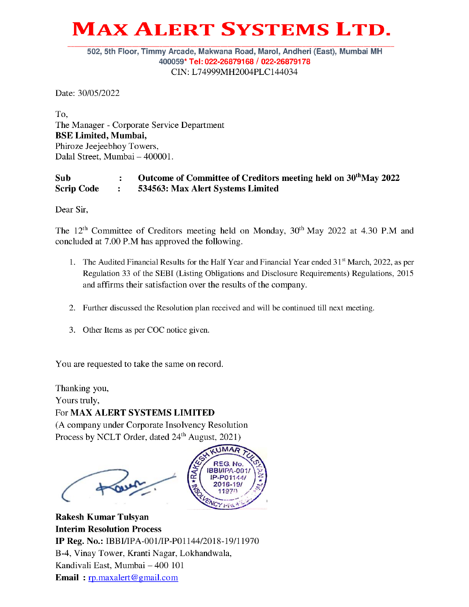# MAX ALERT SYSTEMS LTD. MAX ALERT S

### 502, 5th Floor, Timmy Arcade, Makwana Road, Marol, Andheri (East), Mumbai MH 400059\* Tel: 022-26879168 / 022-26879178 CIN: L74999MH2004PLC144034

Date: 30/05/2022

To, The Manager - Corporate Service Department BSE Limited, Mumbai, Phiroze Jeejeebhoy Towers, Dalal Street, Mumbai — 400001.

## Sub : Outcome of Committee of Creditors meeting held on 30<sup>th</sup>May 2022 Scrip Code : 534563: Max Alert Systems Limited

Dear Sir,

The  $12<sup>th</sup>$  Committee of Creditors meeting held on Monday,  $30<sup>th</sup>$  May 2022 at 4.30 P.M and concluded at 7.00 P.M has approved the following.

- 1. The Audited Financial Results for the Half Year and Financial Year ended 31" March, 2022, as per Regulation 33 of the SEBI (Listing Obligations and Disclosure Requirements) Regulations, 2015 and affirms their satisfaction over the results of the company.
- 2. Further discussed the Resolution plan received and will be continued till next meeting.
- 3. Other Items as per COC notice given.

You are requested to take the same on record.

Thanking you,

Yours truly,

## For MAX ALERT SYSTEMS LIMITED

(A company under Corporate Insolvency Resolution Process by NCLT Order, dated 24<sup>th</sup> August, 2021)



Rakesh Kumar Tulsyan Interim Resolution Process IP Reg. No.: IBBI/IPA-001/IP-PO1 144/2018-19/11970 B-4, Vinay Tower, Kranti Nagar, Lokhandwala, Kandivali East, Mumbai — 400 101 Email : rp.maxalert@gmail.com